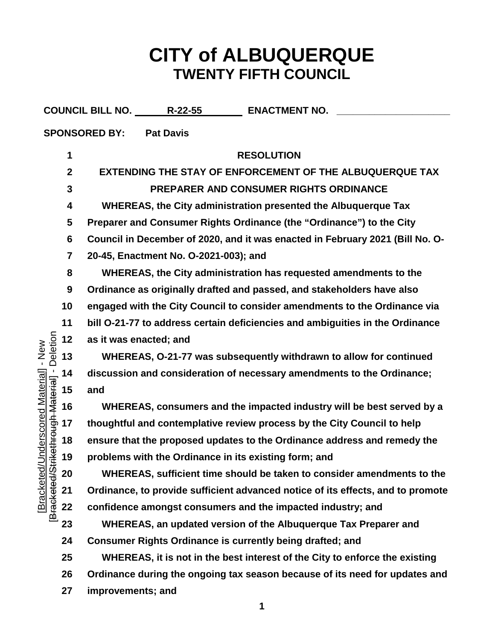## **CITY of ALBUQUERQUE TWENTY FIFTH COUNCIL**

|                                                                                                                 |                         | COUNCIL BILL NO. R-22-55<br><b>ENACTMENT NO.</b>                                |
|-----------------------------------------------------------------------------------------------------------------|-------------------------|---------------------------------------------------------------------------------|
| <b>SPONSORED BY:</b><br><b>Pat Davis</b>                                                                        |                         |                                                                                 |
| Deletion<br>- New<br>- [ <del>Isiaspy Maroulisxi</del> i<br>/Underscored Material]<br>[Bracketed<br>Bracketed/S | 1                       | <b>RESOLUTION</b>                                                               |
|                                                                                                                 | $\boldsymbol{2}$        | <b>EXTENDING THE STAY OF ENFORCEMENT OF THE ALBUQUERQUE TAX</b>                 |
|                                                                                                                 | $\mathbf{3}$            | PREPARER AND CONSUMER RIGHTS ORDINANCE                                          |
|                                                                                                                 | 4                       | WHEREAS, the City administration presented the Albuquerque Tax                  |
|                                                                                                                 | 5                       | Preparer and Consumer Rights Ordinance (the "Ordinance") to the City            |
|                                                                                                                 | 6                       | Council in December of 2020, and it was enacted in February 2021 (Bill No. O-   |
|                                                                                                                 | $\overline{\mathbf{7}}$ | 20-45, Enactment No. O-2021-003); and                                           |
|                                                                                                                 | 8                       | WHEREAS, the City administration has requested amendments to the                |
|                                                                                                                 | 9                       | Ordinance as originally drafted and passed, and stakeholders have also          |
|                                                                                                                 | 10                      | engaged with the City Council to consider amendments to the Ordinance via       |
|                                                                                                                 | 11                      | bill O-21-77 to address certain deficiencies and ambiguities in the Ordinance   |
|                                                                                                                 | 12                      | as it was enacted; and                                                          |
|                                                                                                                 | 13                      | WHEREAS, O-21-77 was subsequently withdrawn to allow for continued              |
|                                                                                                                 | 14                      | discussion and consideration of necessary amendments to the Ordinance;          |
|                                                                                                                 | 15                      | and                                                                             |
|                                                                                                                 | 16                      | WHEREAS, consumers and the impacted industry will be best served by a           |
|                                                                                                                 | 17                      | thoughtful and contemplative review process by the City Council to help         |
|                                                                                                                 | 18                      | ensure that the proposed updates to the Ordinance address and remedy the        |
|                                                                                                                 | 19                      | problems with the Ordinance in its existing form; and                           |
|                                                                                                                 | 20                      | WHEREAS, sufficient time should be taken to consider amendments to the          |
|                                                                                                                 | 21                      | Ordinance, to provide sufficient advanced notice of its effects, and to promote |
|                                                                                                                 | 22                      | confidence amongst consumers and the impacted industry; and                     |
|                                                                                                                 | 23                      | WHEREAS, an updated version of the Albuquerque Tax Preparer and                 |
|                                                                                                                 | 24                      | Consumer Rights Ordinance is currently being drafted; and                       |
|                                                                                                                 | 25                      | WHEREAS, it is not in the best interest of the City to enforce the existing     |
|                                                                                                                 | 26                      | Ordinance during the ongoing tax season because of its need for updates and     |
|                                                                                                                 | 27                      | improvements; and                                                               |
|                                                                                                                 |                         |                                                                                 |